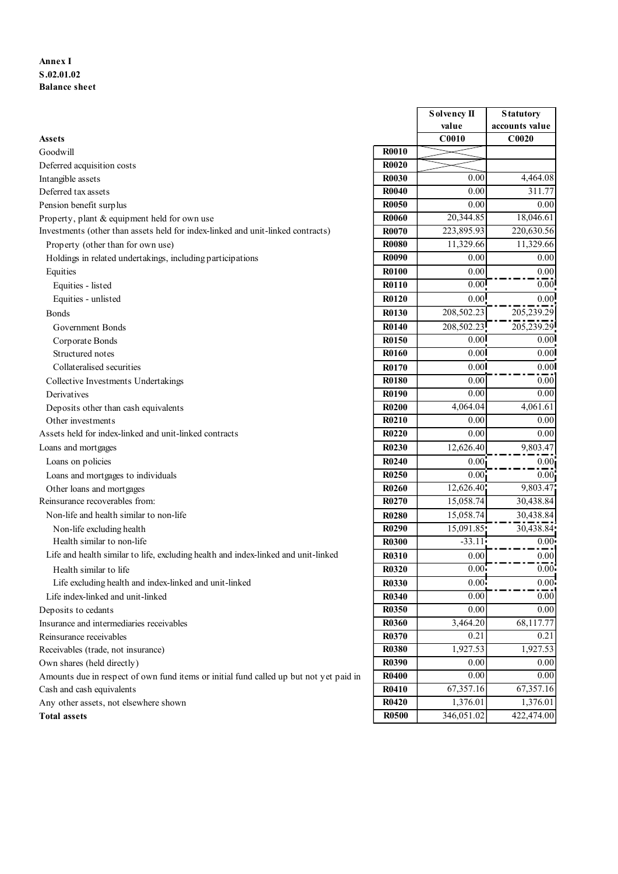## Annex I S.02.01.02 Balance sheet

| Annex I                                                                                |              |                   |                   |
|----------------------------------------------------------------------------------------|--------------|-------------------|-------------------|
|                                                                                        |              |                   |                   |
|                                                                                        |              |                   |                   |
|                                                                                        |              |                   |                   |
| S.02.01.02                                                                             |              |                   |                   |
| <b>Balance sheet</b>                                                                   |              |                   |                   |
|                                                                                        |              |                   |                   |
|                                                                                        |              | Solvency II       | <b>Statutory</b>  |
|                                                                                        |              | value             | accounts value    |
| Assets                                                                                 |              | C0010             | C <sub>0020</sub> |
| Goodwill                                                                               | <b>R0010</b> |                   |                   |
| Deferred acquisition costs                                                             | <b>R0020</b> |                   |                   |
| Intangible assets                                                                      | <b>R0030</b> | 0.00              | 4,464.08          |
| Deferred tax assets                                                                    | <b>R0040</b> | 0.00              | 311.77            |
| Pension benefit surplus                                                                | <b>R0050</b> | 0.00              | 0.00              |
| Property, plant & equipment held for own use                                           | <b>R0060</b> | 20,344.85         | 18,046.61         |
| Investments (other than assets held for index-linked and unit-linked contracts)        | <b>R0070</b> | 223,895.93        | 220,630.56        |
| Property (other than for own use)                                                      | <b>R0080</b> | 11,329.66         | 11,329.66         |
| Holdings in related undertakings, including participations                             | <b>R0090</b> | 0.00              | 0.00              |
| Equities                                                                               | <b>R0100</b> | $0.00\,$          | 0.00              |
| Equities - listed                                                                      | <b>R0110</b> | 0.00              | 0.00              |
| Equities - unlisted                                                                    | <b>R0120</b> | 0.00              | 0.00              |
| <b>Bonds</b>                                                                           | <b>R0130</b> | 208,502.23        | 205,239.29        |
| Government Bonds                                                                       | <b>R0140</b> | 208,502.23        | 205,239.29        |
| Corporate Bonds                                                                        | R0150        | 0.00              | 0.00              |
| Structured notes                                                                       | <b>R0160</b> | 0.00              | $\overline{0.00}$ |
| Collateralised securities                                                              | R0170        | 0.00 <sup>1</sup> | 0.00              |
| Collective Investments Undertakings                                                    | <b>R0180</b> | 0.00              | 0.00              |
| Derivatives                                                                            | R0190        | 0.00              | 0.00              |
| Deposits other than cash equivalents                                                   | <b>R0200</b> | 4,064.04          | 4,061.61          |
| Other investments                                                                      | R0210        | $0.00\,$          | 0.00              |
| Assets held for index-linked and unit-linked contracts                                 | R0220        | 0.00              | 0.00              |
| Loans and mortgages                                                                    | <b>R0230</b> | 12,626.40         | 9,803.47          |
| Loans on policies                                                                      | <b>R0240</b> | 0.00 <sub>1</sub> | 0.00              |
| Loans and mortgages to individuals                                                     | R0250        | 0.00              | 0.00              |
| Other loans and mortgages                                                              | <b>R0260</b> | 12,626.40         | 9,803.47          |
| Reinsurance recoverables from:                                                         | R0270        | 15,058.74         | 30,438.84         |
| Non-life and health similar to non-life                                                | <b>R0280</b> | 15,058.74         | 30,438.84         |
| Non-life excluding health                                                              | R0290        | 15,091.85         | 30,438.84         |
| Health similar to non-life                                                             | <b>R0300</b> | $-33.11$          | 0.00:             |
| Life and health similar to life, excluding health and index-linked and unit-linked     | <b>R0310</b> | 0.00              | $0.00\,$          |
| Health similar to life                                                                 | <b>R0320</b> | 0.00              | 0.00              |
| Life excluding health and index-linked and unit-linked                                 | <b>R0330</b> | 0.00              | 0.00              |
| Life index-linked and unit-linked                                                      | <b>R0340</b> | 0.00              | 0.00              |
| Deposits to cedants                                                                    | R0350        | 0.00              | 0.00              |
| Insurance and intermediaries receivables                                               | <b>R0360</b> | 3,464.20          | 68,117.77         |
| Reinsurance receivables                                                                | <b>R0370</b> | 0.21              | 0.21              |
| Receivables (trade, not insurance)                                                     | <b>R0380</b> | 1,927.53          | 1,927.53          |
| Own shares (held directly)                                                             | R0390        | $0.00\,$          | 0.00              |
| Amounts due in respect of own fund items or initial fund called up but not yet paid in | <b>R0400</b> | $0.00\,$          | 0.00              |
| Cash and cash equivalents                                                              | <b>R0410</b> | 67,357.16         | 67,357.16         |
| Any other assets, not elsewhere shown                                                  | <b>R0420</b> | 1,376.01          | 1,376.01          |
| <b>Total assets</b>                                                                    | <b>R0500</b> | 346,051.02        | 422,474.00        |

|              | Solvency II            | <b>Statutory</b>  |
|--------------|------------------------|-------------------|
|              | value                  | accounts value    |
|              | C0010                  | C0020             |
| <b>R0010</b> |                        |                   |
| <b>R0020</b> |                        |                   |
| R0030        | 0.00                   | 4,464.08          |
| R0040        | 0.00                   | 311.77            |
| <b>R0050</b> | 0.00                   | 0.00              |
| <b>R0060</b> | 20,344.85              | 18,046.61         |
| R0070        | 223,895.93             | 220,630.56        |
| <b>R0080</b> | 11,329.66              | 11,329.66         |
| R0090        | 0.00                   | 0.00              |
| R0100        | 0.00                   | 0.00              |
| R0110        | 0.00                   | 0.00              |
| R0120        | 0.00                   | 0.00              |
| R0130        | 208,502.23             | 205,239.29        |
| R0140        | 208,502.23             | 205,239.29        |
| R0150        | 0.00                   | 0.00              |
| R0160        | 0.00                   | 0.00 <sup>1</sup> |
| R0170        |                        |                   |
| <b>R0180</b> | 0.00<br>0.00           | 0.00<br>$0.00\,$  |
| R0190        | $0.00\,$               | 0.00              |
| <b>R0200</b> | 4,064.04               | 4,061.61          |
| R0210        |                        | 0.00              |
| R0220        | 0.00<br>0.00           | 0.00              |
|              | $\overline{12,626.40}$ |                   |
| R0230        |                        | 9,803.47          |
| R0240        | 0.00 <sub>1</sub>      | 0.00              |
| R0250        | 0.00                   | $0.00\,$          |
| R0260        | 12,626.40              | 9,803.47          |
| R0270        | 15,058.74              | 30,438.84         |
| R0280        | 15,058.74              | 30,438.84         |
| R0290        | 15,091.85              | 30,438.84         |
| R0300        | $-33.11$               | 0.00              |
| R0310        | 0.00                   | 0.00              |
| R0320        | $0.00$ <sup>T</sup>    | 0.00              |
| R0330        | $\overline{0.00}$      | $0.00 -$          |
| R0340        | 0.00                   | 0.00              |
| R0350        | 0.00                   | 0.00              |
| <b>R0360</b> | 3,464.20               | 68,117.77         |
| R0370        | 0.21                   | 0.21              |
| <b>R0380</b> | 1,927.53               | 1,927.53          |
| R0390        | $0.00\,$               | 0.00              |
| <b>R0400</b> | 0.00                   | 0.00              |
| R0410        | 67,357.16              | 67,357.16         |
| R0420        | 1,376.01               | 1,376.01          |
| <b>D0500</b> | 346.051.02             | 422.474.00        |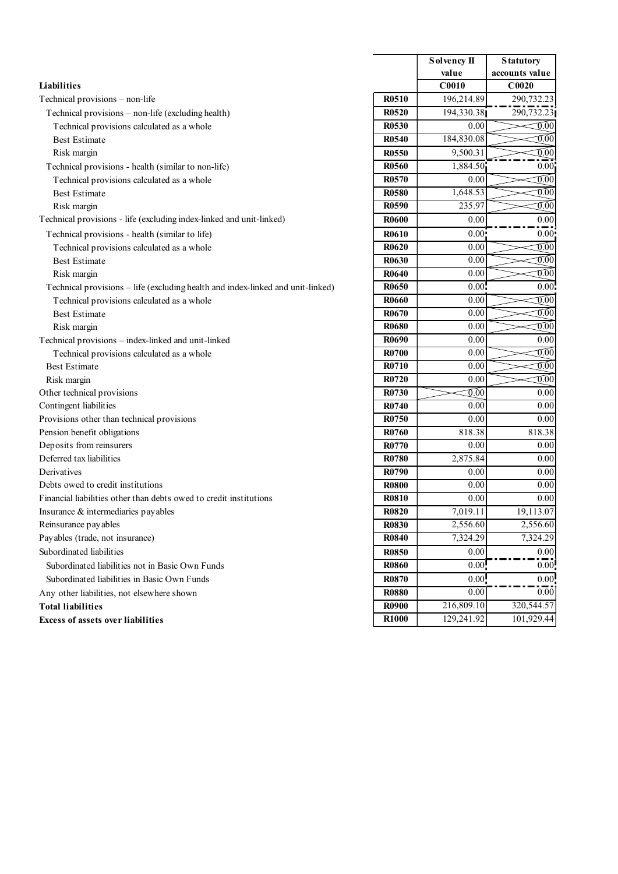|                                                                                                   |                              | Solvency II          | <b>Statutory</b>                       |
|---------------------------------------------------------------------------------------------------|------------------------------|----------------------|----------------------------------------|
|                                                                                                   |                              | value                | accounts value                         |
| Liabilities                                                                                       |                              | C <sub>0010</sub>    | C0020                                  |
| Technical provisions - non-life                                                                   | R0510                        | 196,214.89           | 290,732.23                             |
| Technical provisions - non-life (excluding health)                                                | <b>R0520</b>                 | 194,330.38           | 290,732.23                             |
| Technical provisions calculated as a whole                                                        | R0530                        | 0.00                 | $\mathbb{C}^{0.00}$                    |
| <b>Best Estimate</b>                                                                              | <b>R0540</b>                 | 184,830.08           | $\overline{0.00}$                      |
| Risk margin                                                                                       | <b>R0550</b><br><b>R0560</b> | 9,500.31<br>1,884.50 | $\widehat{0.00}$<br>0.00               |
| Technical provisions - health (similar to non-life)<br>Technical provisions calculated as a whole | R0570                        | 0.00                 | $\overline{0.00}$                      |
| <b>Best Estimate</b>                                                                              | <b>R0580</b>                 | 1,648.53             | $\overline{0.00}$                      |
| Risk margin                                                                                       | <b>R0590</b>                 | 235.97               | $\widehat{0.00}$                       |
| Technical provisions - life (excluding index-linked and unit-linked)                              | <b>R0600</b>                 | 0.00                 | $0.00\,$                               |
| Technical provisions - health (similar to life)                                                   | <b>R0610</b>                 | 0.00                 | 0.00                                   |
| Technical provisions calculated as a whole                                                        | <b>R0620</b>                 | 0.00                 | $\mathbb{0.00}$                        |
| <b>Best Estimate</b>                                                                              | R0630                        | 0.00                 | $\widetilde{0.00}$                     |
| Risk margin                                                                                       | <b>R0640</b>                 | 0.00                 | $\widetilde{0.00}$                     |
| Technical provisions - life (excluding health and index-linked and unit-linked)                   | R0650                        | 0.00                 | 0.00                                   |
| Technical provisions calculated as a whole                                                        | <b>R0660</b>                 | 0.00                 | $\overline{0.00}$                      |
| <b>Best Estimate</b>                                                                              | R0670                        | $0.00\,$             | $\overline{0.00}$                      |
| Risk margin                                                                                       | R0680                        | $0.00\,$             | $\overline{0.00}$                      |
| Technical provisions - index-linked and unit-linked                                               | <b>R0690</b><br><b>R0700</b> | $0.00\,$             | 0.00                                   |
| Technical provisions calculated as a whole                                                        | R0710                        | 0.00<br>0.00         | $\overline{0.00}$<br>$\overline{0.00}$ |
| <b>Best Estimate</b><br>Risk margin                                                               | R0720                        | $\overline{0.00}$    | $\overline{0.00}$                      |
| Other technical provisions                                                                        | R0730                        | $\widehat{0.00}$     | 0.00                                   |
| Contingent liabilities                                                                            | <b>R0740</b>                 | 0.00                 | 0.00                                   |
| Provisions other than technical provisions                                                        | <b>R0750</b>                 | 0.00                 | 0.00                                   |
| Pension benefit obligations                                                                       | R0760                        | 818.38               | 818.38                                 |
| Deposits from reinsurers                                                                          | <b>R0770</b>                 | $\overline{0.00}$    | 0.00                                   |
| Deferred tax liabilities                                                                          | <b>R0780</b>                 | 2,875.84             | 0.00                                   |
| Derivatives                                                                                       | R0790                        | 0.00                 | 0.00                                   |
| Debts owed to credit institutions                                                                 | <b>R0800</b>                 | 0.00                 | 0.00                                   |
| Financial liabilities other than debts owed to credit institutions                                | <b>R0810</b>                 | $\overline{0.00}$    | $\overline{0.00}$                      |
| Insurance & intermediaries payables<br>Reinsurance payables                                       | <b>R0820</b><br><b>R0830</b> | 7,019.11<br>2,556.60 | 19,113.07<br>2,556.60                  |
| Payables (trade, not insurance)                                                                   | <b>R0840</b>                 | 7,324.29             | 7,324.29                               |
| Subordinated liabilities                                                                          | <b>R0850</b>                 | $0.00\,$             | 0.00                                   |
| Subordinated liabilities not in Basic Own Funds                                                   | <b>R0860</b>                 | 0.00                 | 0.00                                   |
| Subordinated liabilities in Basic Own Funds                                                       | <b>R0870</b>                 | 0.00                 | 0.00                                   |
| Any other liabilities, not elsewhere shown                                                        | <b>R0880</b>                 | 0.00                 | 0.00                                   |
| <b>Total liabilities</b>                                                                          | <b>R0900</b>                 | 216,809.10           | 320, 544. 57                           |
|                                                                                                   | <b>R1000</b>                 | 129,241.92           | 101,929.44                             |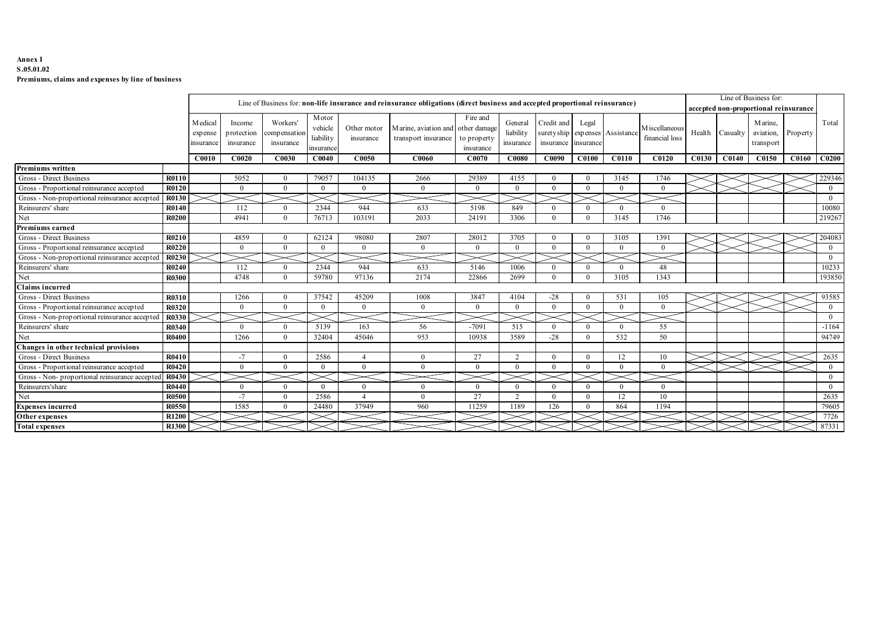### Annex I S.05.01.02 Premiums, claims and expenses by line of business

| Annex I<br>S.05.01.02                                              |                       |                        |                            |                         |                   |                                                                                                                              |                  |                        |                         |                                |                                           |                 |                 |                                       |                         |
|--------------------------------------------------------------------|-----------------------|------------------------|----------------------------|-------------------------|-------------------|------------------------------------------------------------------------------------------------------------------------------|------------------|------------------------|-------------------------|--------------------------------|-------------------------------------------|-----------------|-----------------|---------------------------------------|-------------------------|
| Premiums, claims and expenses by line of business                  |                       |                        |                            |                         |                   |                                                                                                                              |                  |                        |                         |                                |                                           |                 |                 |                                       |                         |
|                                                                    |                       |                        |                            |                         |                   |                                                                                                                              |                  |                        |                         |                                |                                           |                 |                 |                                       |                         |
|                                                                    |                       |                        |                            |                         |                   |                                                                                                                              |                  |                        |                         |                                |                                           |                 |                 | Line of Business for:                 |                         |
|                                                                    |                       |                        |                            |                         |                   | Line of Business for: non-life insurance and reinsurance obligations (direct business and accepted proportional reinsurance) |                  |                        |                         |                                |                                           |                 |                 | accepted non-proportional reinsurance |                         |
|                                                                    |                       |                        |                            | Motor                   |                   |                                                                                                                              | Fire and         |                        |                         |                                |                                           |                 |                 |                                       |                         |
|                                                                    | M edical              | Income                 | Workers'                   | vehicle                 | Other motor       | Marine, aviation and other damage                                                                                            |                  | General                | Credit and              | Legal                          |                                           | M iscellaneous  |                 | Marine,                               | Total                   |
|                                                                    | expense               | protection             | ompensation                | liability               | insurance         | transport insurance                                                                                                          | to property      | liability              | suretyship              |                                | expenses Assistance                       | financial loss  | Health Casualty | aviation, Property                    |                         |
|                                                                    | msurance              | insurance              | insurance                  | nsuranc                 |                   |                                                                                                                              | insurance        | insurance              | insurance               | insurance                      |                                           |                 |                 | transport                             |                         |
|                                                                    | C0010                 | <b>C0020</b>           | C0030                      | C <sub>0040</sub>       | C0050             | C0060                                                                                                                        | C0070            | C0080                  | C0090                   | <b>C0100</b>                   | <b>C0110</b>                              | <b>C0120</b>    | $C0130$ $C0140$ | C0150 C0160 C0200                     |                         |
| Premiums written                                                   |                       |                        |                            |                         |                   |                                                                                                                              |                  |                        |                         |                                |                                           |                 |                 |                                       |                         |
| Gross - Direct Business                                            | <b>R0110</b>          | 5052                   | $\bf{0}$                   | 79057                   | 104135            | 2666                                                                                                                         | 29389            | 4155                   | $\bf{0}$                | $\overline{0}$                 | 3145                                      | 1746            |                 |                                       | 229346                  |
| Gross - Proportional reinsurance accepted                          | <b>R0120</b>          | $\overline{0}$         | $\bf{0}$                   | $\bf{0}$                | $\overline{0}$    | $\overline{0}$                                                                                                               | $\bf{0}$         | $\bf{0}$               | $\overline{0}$          | $\mathbf{0}$                   | $\mathbf{0}$                              | $\Omega$        |                 |                                       | $\overline{0}$          |
| Gross - Non-proportional reinsurance accepted                      | R0130                 |                        | $\gt$                      |                         | $>\!$             | $\gt$                                                                                                                        |                  | $>\!<$                 |                         |                                |                                           | $>\!<$          |                 |                                       | $\overline{0}$          |
| Reinsurers' share                                                  | <b>R0140</b>          | 112                    | $\overline{0}$             | 2344                    | 944               | 633                                                                                                                          | 5198             | 849                    | $\Omega$                | $\Omega$                       | $\theta$                                  | $\Omega$        |                 |                                       | 10080                   |
| Net                                                                | <b>R0200</b>          | 4941                   | $\overline{0}$             | 76713                   | 103191            | 2033                                                                                                                         | 24191            | 3306                   | $\theta$                | $\overline{0}$                 | 3145                                      | 1746            |                 |                                       | 21926                   |
| Premiums earned                                                    |                       |                        |                            |                         |                   |                                                                                                                              |                  |                        |                         |                                |                                           |                 |                 |                                       |                         |
| Gross - Direct Business                                            | <b>R0210</b>          | 4859                   | $\bf{0}$                   | 62124                   | 98080             | 2807                                                                                                                         | 28012            | 3705                   | $\bf{0}$                | $\mathbf{0}$                   | 3105                                      | 1391            |                 |                                       | 204083                  |
| Gross - Proportional reinsurance accepted                          | <b>R0220</b>          | $\overline{0}$         | $\overline{0}$             | $\bf{0}$                | $\overline{0}$    | $\overline{0}$                                                                                                               | $\Omega$         | $\overline{0}$         | $\overline{0}$          | $\overline{0}$                 | $\overline{0}$                            | $\theta$        |                 |                                       | $\overline{0}$          |
| Gross - Non-proportional reinsurance accepted                      | R0230                 |                        |                            |                         | $\geq$            | $\gt$                                                                                                                        |                  |                        |                         |                                |                                           |                 |                 |                                       | $\overline{0}$          |
| Reinsurers' share                                                  | R0240                 | 112                    | $\overline{0}$             | 2344                    | 944               | 633                                                                                                                          | 5146             | 1006                   | $\bf{0}$                | $\overline{0}$                 | $\mathbf{0}$                              | 48              |                 |                                       | 10233                   |
| Net                                                                | <b>R0300</b>          | 4748                   | $\bf{0}$                   | 59780                   | 97136             | 2174                                                                                                                         | 22866            | 2699                   | $\overline{0}$          | $\overline{0}$                 | 3105                                      | 1343            |                 |                                       | 193850                  |
| Claims incurred<br>Gross - Direct Business                         |                       |                        |                            |                         |                   |                                                                                                                              |                  |                        |                         |                                |                                           |                 |                 |                                       |                         |
| Gross - Proportional reinsurance accepted                          | <b>R0310</b><br>R0320 | 1266<br>$\overline{0}$ | $\bf{0}$<br>$\overline{0}$ | 37542<br>$\overline{0}$ | 45209<br>$\Omega$ | 1008<br>$\overline{0}$                                                                                                       | 3847<br>$\theta$ | 4104<br>$\overline{0}$ | $-28$<br>$\overline{0}$ | $\mathbf{0}$<br>$\overline{0}$ | 531<br>$\overline{0}$                     | 105<br>$\Omega$ |                 |                                       | 93585<br>$\overline{0}$ |
| Gross - Non-proportional reinsurance accepted                      | R0330                 |                        |                            |                         |                   |                                                                                                                              |                  |                        |                         |                                |                                           |                 |                 |                                       | $\bf{0}$                |
| Reinsurers' share                                                  | R0340                 | $\bf{0}$               | - 0                        | 5139                    | 163               | 56                                                                                                                           | $-7091$          | 515                    | $\overline{0}$          | $\Omega$                       | $\Omega$                                  | 55              |                 |                                       | $-1164$                 |
| $\hbox{Net}$                                                       | R0400                 | 1266                   | $\overline{0}$             | 32404                   | 45046             | 953                                                                                                                          | 10938            | 3589                   | $-28$                   | $\mathbf{0}$                   | 532                                       | 50              |                 |                                       | 94749                   |
| Changes in other technical provisions                              |                       |                        |                            |                         |                   |                                                                                                                              |                  |                        |                         |                                |                                           |                 |                 |                                       |                         |
|                                                                    | R0410                 | $-7$                   | $\overline{\phantom{0}}$   | 2586                    | -4                | $\overline{0}$                                                                                                               | 27               | 2                      | $\overline{0}$          | $\bf{0}$                       | 12                                        | 10              |                 | $>\!\!<$ 1 $>\!\!<$                   | 2635                    |
|                                                                    | R0420                 | $\bf{0}$               | $\overline{0}$             | $\bf{0}$                | $\overline{0}$    | $\overline{0}$                                                                                                               | $\Omega$         | $\mathbf{0}$           | $\overline{0}$          | $\bf{0}$                       | $\mathbf{0}$                              | $\bf{0}$        |                 |                                       | $\bf{0}$                |
| Gross - Direct Business                                            |                       | $\asymp$               |                            |                         | $\succ$           |                                                                                                                              |                  |                        |                         |                                | $\mathrel{{\mathop{\hbox{--}}\nolimits}}$ | $\approx$       |                 |                                       | $\overline{0}$          |
| Gross - Proportional reinsurance accepted                          | R0430                 |                        |                            |                         |                   |                                                                                                                              | $\overline{0}$   | $\overline{0}$         | $\overline{0}$          | $\overline{0}$                 | $\mathbf{0}$                              | $\overline{0}$  |                 |                                       | $\overline{0}$          |
| Gross - Non- proportional reinsurance accepted<br>Reinsurers'share | <b>R0440</b>          | $\overline{0}$         | $\bf{0}$                   | $\overline{0}$          | $\overline{0}$    | $\overline{0}$                                                                                                               |                  |                        |                         |                                |                                           |                 |                 |                                       |                         |
| Net                                                                | R0500                 | $-7$                   | $\bf{0}$                   | 2586                    | $\overline{4}$    | $\overline{0}$                                                                                                               | 27               | 2                      | $\mathbf{0}$            | $\mathbf{0}$                   | 12                                        | 10              |                 |                                       | 2635                    |
| <b>Expenses incurred</b>                                           | R0550                 | 1585                   | $\overline{0}$             | 24480                   | 37949             | 960                                                                                                                          | 11259            | 1189                   | 126                     | $\bf{0}$                       | 864                                       | 1194            |                 |                                       | 79605                   |
| Other expenses<br><b>Total expenses</b>                            | R1200<br>R1300        |                        |                            |                         |                   |                                                                                                                              |                  |                        |                         |                                |                                           |                 |                 |                                       | 7726<br>87331           |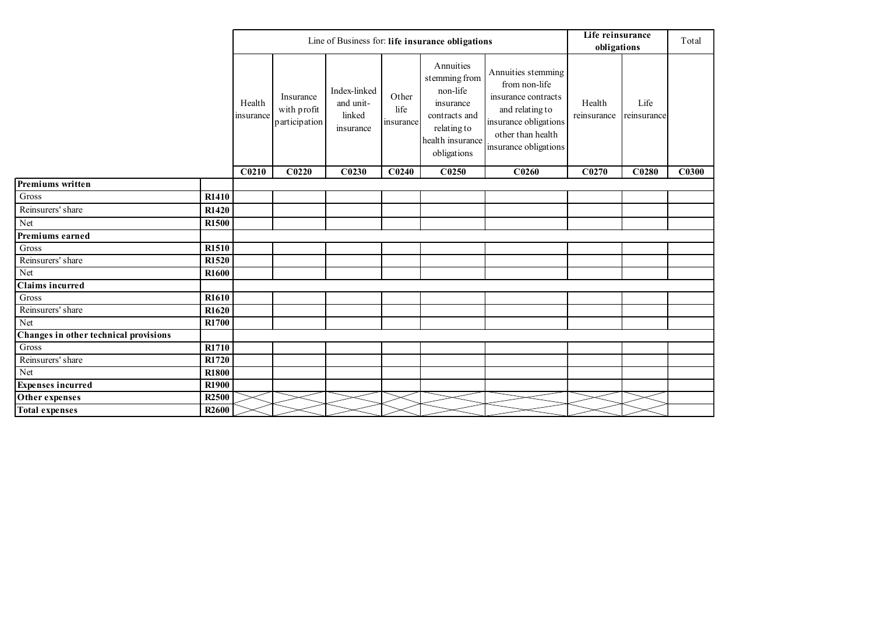|                                       |                   |                     |                                           |                                                  |                            | Line of Business for: life insurance obligations                                                                       |                                                                                                                                                      | Life reinsurance<br>obligations |                     | Total             |
|---------------------------------------|-------------------|---------------------|-------------------------------------------|--------------------------------------------------|----------------------------|------------------------------------------------------------------------------------------------------------------------|------------------------------------------------------------------------------------------------------------------------------------------------------|---------------------------------|---------------------|-------------------|
|                                       |                   | Health<br>insurance | Insurance<br>with profit<br>participation | Index-linked<br>and unit-<br>linked<br>insurance | Other<br>life<br>insurance | Annuities<br>stemming from<br>non-life<br>insurance<br>contracts and<br>relating to<br>health insurance<br>obligations | Annuities stemming<br>from non-life<br>insurance contracts<br>and relating to<br>insurance obligations<br>other than health<br>insurance obligations | Health<br>reinsurance           | Life<br>reinsurance |                   |
|                                       |                   | C <sub>0210</sub>   | C <sub>0220</sub>                         | C <sub>0230</sub>                                | C <sub>0240</sub>          | C0250                                                                                                                  | C <sub>0260</sub>                                                                                                                                    | C <sub>0270</sub>               | C <sub>0280</sub>   | C <sub>0300</sub> |
| Premiums written                      |                   |                     |                                           |                                                  |                            |                                                                                                                        |                                                                                                                                                      |                                 |                     |                   |
| Gross                                 | R1410             |                     |                                           |                                                  |                            |                                                                                                                        |                                                                                                                                                      |                                 |                     |                   |
| Reinsurers' share                     | R1420             |                     |                                           |                                                  |                            |                                                                                                                        |                                                                                                                                                      |                                 |                     |                   |
| Net                                   | R1500             |                     |                                           |                                                  |                            |                                                                                                                        |                                                                                                                                                      |                                 |                     |                   |
| Premiums earned                       |                   |                     |                                           |                                                  |                            |                                                                                                                        |                                                                                                                                                      |                                 |                     |                   |
| $\rm Gross$                           | R1510             |                     |                                           |                                                  |                            |                                                                                                                        |                                                                                                                                                      |                                 |                     |                   |
| Reinsurers' share                     | R1520             |                     |                                           |                                                  |                            |                                                                                                                        |                                                                                                                                                      |                                 |                     |                   |
| Net                                   | R1600             |                     |                                           |                                                  |                            |                                                                                                                        |                                                                                                                                                      |                                 |                     |                   |
| <b>Claims incurred</b>                |                   |                     |                                           |                                                  |                            |                                                                                                                        |                                                                                                                                                      |                                 |                     |                   |
| $\rm Gross$                           | R1610             |                     |                                           |                                                  |                            |                                                                                                                        |                                                                                                                                                      |                                 |                     |                   |
| Reinsurers' share                     | R1620             |                     |                                           |                                                  |                            |                                                                                                                        |                                                                                                                                                      |                                 |                     |                   |
| Net                                   | R1700             |                     |                                           |                                                  |                            |                                                                                                                        |                                                                                                                                                      |                                 |                     |                   |
| Changes in other technical provisions |                   |                     |                                           |                                                  |                            |                                                                                                                        |                                                                                                                                                      |                                 |                     |                   |
| $\rm Gross$                           | R1710             |                     |                                           |                                                  |                            |                                                                                                                        |                                                                                                                                                      |                                 |                     |                   |
| Reinsurers' share                     | R1720             |                     |                                           |                                                  |                            |                                                                                                                        |                                                                                                                                                      |                                 |                     |                   |
| $\operatorname{Net}$                  | <b>R1800</b>      |                     |                                           |                                                  |                            |                                                                                                                        |                                                                                                                                                      |                                 |                     |                   |
| <b>Expenses incurred</b>              | R <sub>1900</sub> |                     |                                           |                                                  |                            |                                                                                                                        |                                                                                                                                                      |                                 |                     |                   |
| Other expenses                        | R <sub>2500</sub> |                     |                                           |                                                  |                            |                                                                                                                        |                                                                                                                                                      |                                 |                     |                   |
| <b>Total expenses</b>                 | <b>R2600</b>      |                     |                                           |                                                  |                            |                                                                                                                        |                                                                                                                                                      |                                 |                     |                   |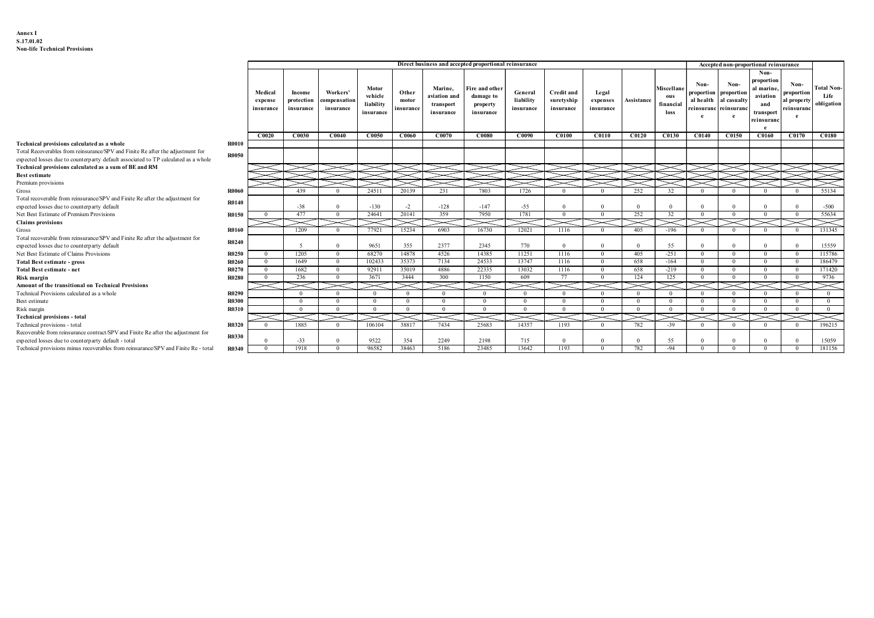|                                                                                                                                                                      |                       |                                  |                                   |                                       |                                            |                             |                                                   | Direct business and accepted proportional reinsurance |                                   |                                              |                                  |                       |                                        |                                                                     |                              | Accepted non-proportional reinsurance                                        |                                                      |                                         |
|----------------------------------------------------------------------------------------------------------------------------------------------------------------------|-----------------------|----------------------------------|-----------------------------------|---------------------------------------|--------------------------------------------|-----------------------------|---------------------------------------------------|-------------------------------------------------------|-----------------------------------|----------------------------------------------|----------------------------------|-----------------------|----------------------------------------|---------------------------------------------------------------------|------------------------------|------------------------------------------------------------------------------|------------------------------------------------------|-----------------------------------------|
|                                                                                                                                                                      |                       | Medical<br>expense<br>insurance  | Income<br>protection<br>insurance | Workers'<br>compensation<br>insurance | Motor<br>vehicle<br>liability<br>insurance | Other<br>motor<br>insurance | Marine,<br>aviation and<br>transport<br>insurance | ire and other<br>damage to<br>property<br>insurance   | General<br>liability<br>insurance | <b>Credit and</b><br>suretyship<br>insurance | Legal<br>expenses<br>insurance   | Assistance            | Miscellane<br>ous<br>financial<br>loss | Non-<br>proportion proportion<br>al health<br>reinsuranc reinsurano | Non-<br>al casualty          | Non-<br>proportion<br>al marine<br>aviation<br>and<br>transport<br>reinsuran | Non-<br>proportion<br>al property<br>reinsuranc<br>e | <b>Total Non-</b><br>Life<br>obligation |
| Technical provisions calculated as a whole                                                                                                                           | <b>R0010</b>          | C0020                            | C0030                             | <b>C0040</b>                          | C0050                                      | C0060                       | C0070                                             | <b>C0080</b>                                          | C0090                             | C0100                                        | C0110                            |                       |                                        | C0120   C0130   C0140   C0150                                       |                              | $\mathbf{e}$<br>C0160                                                        | C0170   C0180                                        |                                         |
| Total Recoverables from reinsurance/SPV and Finite Re after the adjustment for<br>expected losses due to counterparty default associated to TP calculated as a whole | <b>R0050</b>          |                                  |                                   |                                       |                                            |                             |                                                   |                                                       |                                   |                                              |                                  |                       |                                        |                                                                     |                              |                                                                              |                                                      |                                         |
| Technical provisions calculated as a sum of BE and RM<br><b>Best estimate</b>                                                                                        |                       |                                  |                                   |                                       |                                            |                             |                                                   |                                                       |                                   |                                              |                                  |                       |                                        |                                                                     |                              |                                                                              |                                                      |                                         |
| Premium provisions                                                                                                                                                   |                       |                                  |                                   |                                       |                                            |                             |                                                   |                                                       |                                   |                                              |                                  |                       |                                        |                                                                     |                              |                                                                              |                                                      |                                         |
| Total recoverable from reinsurance/SPV and Finite Re after the adjustment for                                                                                        | <b>R0060</b>          |                                  | 439                               |                                       | 24511                                      | 20139                       | 231                                               | 7803                                                  | 1726                              | - 0                                          |                                  | 252                   | 32                                     |                                                                     |                              | $^{\circ}$                                                                   | $^{\circ}$                                           | 55134                                   |
| expected losses due to counterparty default                                                                                                                          | <b>R0140</b>          |                                  | $-38$                             |                                       | $-130$                                     | $-2$                        | $-128$                                            | $-147$                                                | $-55$                             | $\Omega$                                     | $\Omega$                         | $\overline{0}$        | $\overline{0}$                         |                                                                     | $\Omega$                     | $\Omega$                                                                     | $\Omega$                                             | $-500$                                  |
| Net Best Estimate of Premium Provisions<br><b>Claims</b> provisions                                                                                                  | R0150                 | $\overline{0}$                   | 477<br>↘                          |                                       | 24641                                      | 20141                       | 359                                               | 7950                                                  | 1781<br>$\asymp$                  | $\overline{0}$<br>$\gt$                      | $\overline{0}$                   | 252                   | 32                                     |                                                                     | $\overline{0}$               | $\overline{0}$                                                               | $\overline{0}$                                       | 55634                                   |
| Total recoverable from reinsurance/SPV and Finite Re after the adjustment for                                                                                        | <b>R0160</b>          |                                  | 1209                              | $\theta$                              | 77921                                      | 15234                       | 6903                                              | 16730                                                 | 12021                             | 1116                                         | $\mathbf{0}$                     | 405                   | -196                                   |                                                                     | $\mathbf{0}$                 | $\mathbf{0}$                                                                 | $\overline{0}$                                       | 131345                                  |
| expected losses due to counterparty default                                                                                                                          | R0240                 |                                  | $\sim$                            |                                       | 9651                                       | 355                         | 2377                                              | 2345                                                  | 770                               | $\mathbf{0}$                                 | $\overline{0}$                   | $\overline{0}$        | 55                                     | $\Omega$                                                            | $\Omega$                     | $\Omega$                                                                     | $\Omega$                                             | 15559                                   |
| Net Best Estimate of Claims Provisions<br><b>Total Best estimate - gross</b>                                                                                         | R0250<br><b>R0260</b> | $\overline{0}$<br>$\overline{0}$ | 1205<br>1649                      | $\overline{0}$<br>$\overline{0}$      | 68270<br>102433                            | 14878<br>35373              | 4526<br>7134                                      | 14385<br>24533                                        | 11251<br>13747                    | 1116<br>1116                                 | $\overline{0}$<br>$\overline{0}$ | 405<br>658            | $-251$<br>$-164$                       | $\overline{0}$<br>$\mathbf{0}$                                      | $\mathbf{0}$<br>$\mathbf{0}$ | $\overline{0}$<br>$\overline{0}$                                             | $\overline{0}$<br>$\overline{0}$                     | 115786<br>186479                        |
| Total Best estimate - net                                                                                                                                            | R0270                 | $\overline{0}$                   | 1682                              | $\mathbf{0}$                          | 92911                                      | 35019                       | 4886                                              | 22335                                                 | 13032                             | 1116                                         | $\overline{0}$                   | 658                   | $-219$                                 | $\mathbf{0}$                                                        | $\overline{0}$               | $\overline{0}$                                                               | $\overline{0}$                                       | 171420                                  |
| Risk margin<br>Amount of the transitional on Technical Provisions                                                                                                    | <b>R0280</b>          | $\overline{0}$<br>$\asymp$       | 236<br>$>\!<$                     | $\theta$                              | 3671<br>$\asymp$                           | 3444                        | 300<br>$\!=$                                      | 1150<br>$\asymp$                                      | 609<br>$\asymp$                   | 77<br>$\asymp$                               | $\overline{0}$<br>$\prec$        | 124<br>$\asymp$       | 125                                    | $\overline{0}$                                                      | $\mathbf{0}$                 | $\overline{0}$                                                               | $\overline{0}$                                       | 9736<br>$\asymp$                        |
| Technical Provisions calculated as a whole                                                                                                                           | <b>R0290</b>          |                                  | $\mathbf{0}$                      | $\theta$                              | $\mathbf{0}$                               | $\overline{0}$              | $\overline{0}$                                    | $\mathbf{0}$                                          | $\overline{0}$                    | $\mathbf{0}$                                 | $\overline{0}$                   | $\overline{0}$        | $\overline{0}$                         | $\overline{0}$                                                      | $\theta$                     | $\Omega$                                                                     | $\overline{0}$                                       | $\overline{0}$                          |
| Best estimate                                                                                                                                                        | <b>R0300</b>          |                                  | $\overline{0}$                    | $\Omega$                              | $\overline{0}$                             | $\overline{0}$              | $\Omega$                                          | $\overline{0}$                                        | $\overline{0}$                    | $\theta$                                     | $\Omega$                         | $\overline{0}$        | $\overline{0}$                         | $\theta$                                                            | $\theta$                     | $\Omega$                                                                     | $\Omega$                                             | $\theta$                                |
| Risk margin<br><b>Technical provisions - total</b>                                                                                                                   | R0310                 |                                  | $\overline{0}$                    |                                       | $\overline{0}$                             | $\overline{0}$              | $\Omega$                                          | $\overline{0}$<br>$\mathop{=}$                        | $\overline{0}$                    | $\Omega$                                     | $\Omega$                         | $\overline{0}$        | $\overline{0}$                         |                                                                     | $^{\circ}$                   | $\Omega$                                                                     | $\theta$                                             | $\bf{0}$                                |
| Technical provisions - total                                                                                                                                         | R0320                 | $\overline{0}$                   | 1885                              | $\theta$                              | 106104                                     | 38817                       | 7434                                              | 25683                                                 | 14357                             | 1193                                         | $\Omega$                         | 782                   | $-39$                                  |                                                                     |                              | $^{\circ}$                                                                   | $\Omega$                                             | 196215                                  |
|                                                                                                                                                                      |                       |                                  |                                   |                                       |                                            |                             |                                                   |                                                       |                                   |                                              |                                  |                       |                                        |                                                                     |                              |                                                                              |                                                      |                                         |
| Recoverable from reinsurance contract/SPV and Finite Re after the adjustment for<br>expected losses due to counterparty default - total                              | <b>R0330</b>          |                                  | $-33$                             |                                       | 9522<br>96582                              | 354<br>38463                | 2249<br>5186                                      | 2198<br>23485                                         | 715<br>13642                      | 1193                                         |                                  | $\overline{0}$<br>782 | 55<br>$-94$                            | $\sim 0$                                                            | $\mathbf{0}$                 | $\mathbf{0}$                                                                 | $\mathbf{0}$                                         | 15059<br>181156                         |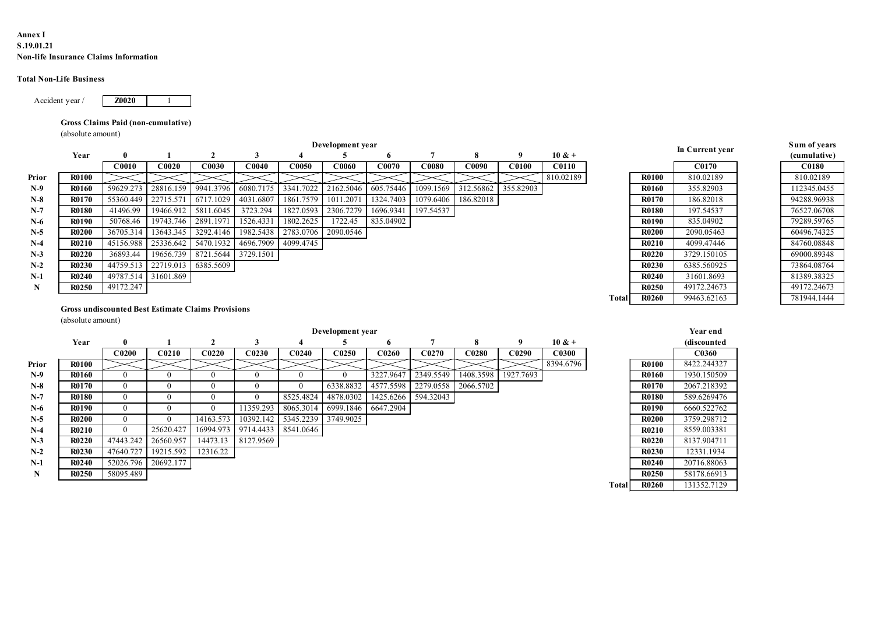### Annex I S.19.01.21 Non-life Insurance Claims Information

### Total Non-Life Business



### Gross Claims Paid (non-cumulative)

| ınex I<br>19.01.21   |                                      |                        |                     |                                                           |                               |                               |                  |                                               |              |                     |                   |                   |       |                              |                            |                            |
|----------------------|--------------------------------------|------------------------|---------------------|-----------------------------------------------------------|-------------------------------|-------------------------------|------------------|-----------------------------------------------|--------------|---------------------|-------------------|-------------------|-------|------------------------------|----------------------------|----------------------------|
|                      | on-life Insurance Claims Information |                        |                     |                                                           |                               |                               |                  |                                               |              |                     |                   |                   |       |                              |                            |                            |
|                      |                                      |                        |                     |                                                           |                               |                               |                  |                                               |              |                     |                   |                   |       |                              |                            |                            |
|                      | tal Non-Life Business                |                        |                     |                                                           |                               |                               |                  |                                               |              |                     |                   |                   |       |                              |                            |                            |
|                      |                                      |                        |                     |                                                           |                               |                               |                  |                                               |              |                     |                   |                   |       |                              |                            |                            |
| Accident year/       |                                      | <b>Z0020</b>           |                     |                                                           |                               |                               |                  |                                               |              |                     |                   |                   |       |                              |                            |                            |
|                      |                                      |                        |                     |                                                           |                               |                               |                  |                                               |              |                     |                   |                   |       |                              |                            |                            |
|                      | Gross Claims Paid (non-cumulative)   |                        |                     |                                                           |                               |                               |                  |                                               |              |                     |                   |                   |       |                              |                            |                            |
|                      | (absolute amount)                    |                        |                     |                                                           |                               |                               |                  |                                               |              |                     |                   |                   |       |                              |                            |                            |
|                      |                                      |                        |                     |                                                           |                               |                               | Development year |                                               |              |                     |                   |                   |       |                              | In Current year            | Sum of years               |
|                      | Year                                 | -0                     |                     | $\mathbf{2}$                                              | $\mathbf{3}$                  |                               | 5                | -6                                            | - 7          | -8                  | - 9               | $10 & +$          |       |                              |                            | (cumulative)               |
|                      |                                      | <b>C0010</b>           | <b>C0020</b>        | C0030                                                     | C0040                         | C0050                         | C0060            | C0070                                         | <b>C0080</b> | C0090               | <b>C0100</b>      | <b>C0110</b>      |       |                              | <b>C0170</b>               | C0180                      |
| Prior                | <b>R0100</b>                         |                        |                     |                                                           |                               |                               |                  |                                               |              |                     |                   | 810.02189         |       | <b>R0100</b>                 | 810.02189                  | 810.02189                  |
| $N-9$                | <b>R0160</b>                         | 59629.273              | 28816.159           | 9941.3796                                                 | 6080.7175                     | 3341.7022                     | 2162.5046        | 605.75446                                     | 1099.1569    | 312.56862           | 355.82903         |                   |       | <b>R0160</b>                 | 355.82903                  | 112345.0455                |
| $N-8$                | <b>R0170</b>                         | 55360.449              | 22715.571           | 6717.1029                                                 | 4031.6807                     | 1861.7579                     | 1011.207         | 1324.7403                                     | 1079.6406    | 186.82018           |                   |                   |       | <b>R0170</b>                 | 186.82018                  | 94288.96938                |
| $N-7$                | <b>R0180</b>                         | 41496.99               | 19466.912           | 5811.6045                                                 | 3723.294                      | 1827.0593 2306.7279           |                  | 1696.9341                                     | 197.54537    |                     |                   |                   |       | <b>R0180</b>                 | 197.54537                  | 76527.06708                |
| $N-6$                | <b>R0190</b>                         | 50768.46               | 19743.746           | 2891.1971                                                 | 1526.4331                     | 1802.2625                     | 1722.45          | 835.04902                                     |              |                     |                   |                   |       | <b>R0190</b>                 | 835.04902                  | 79289.59765                |
| $N-5$                | <b>R0200</b>                         | 36705.31               | 13643.345           | 3292.4146                                                 | 1982.5438                     | 2783.0706                     | 2090.0546        |                                               |              |                     |                   |                   |       | <b>R0200</b>                 | 2090.05463                 | 60496.74325                |
| $N-4$                | <b>R0210</b>                         | 45156.988              | 25336.642           | 5470.1932                                                 | 4696.7909                     | 4099.4745                     |                  |                                               |              |                     |                   |                   |       | <b>R0210</b>                 | 4099.47446                 | 84760.08848                |
| $N-3$<br>$N-2$       | <b>R0220</b><br><b>R0230</b>         | 36893.44               | 19656.739           | 8721.5644 3729.1501<br>22719.013 6385.5609                |                               |                               |                  |                                               |              |                     |                   |                   |       | <b>R0220</b><br><b>R0230</b> | 3729.150105<br>6385.560925 | 69000.89348                |
| $N-1$                | <b>R0240</b>                         | 44759.513<br>49787.514 | 31601.869           |                                                           |                               |                               |                  |                                               |              |                     |                   |                   |       | <b>R0240</b>                 | 31601.8693                 | 73864.08764<br>81389.38325 |
| N                    | <b>R0250</b>                         | 49172.247              |                     |                                                           |                               |                               |                  |                                               |              |                     |                   |                   |       | <b>R0250</b>                 | 49172.24673                | 49172.24673                |
|                      |                                      |                        |                     |                                                           |                               |                               |                  |                                               |              |                     |                   |                   | Total | <b>R0260</b>                 | 99463.62163                | 781944.1444                |
|                      |                                      |                        |                     | <b>Gross undiscounted Best Estimate Claims Provisions</b> |                               |                               |                  |                                               |              |                     |                   |                   |       |                              |                            |                            |
|                      | (absolute amount)                    |                        |                     |                                                           |                               |                               |                  |                                               |              |                     |                   |                   |       |                              |                            |                            |
|                      |                                      |                        |                     |                                                           |                               |                               | Development year |                                               |              |                     |                   |                   |       |                              | Year end                   |                            |
|                      | Year                                 |                        |                     | $\overline{2}$                                            | 3                             |                               | 5                | 6                                             | -7           | -8                  | -9                | $10 & +$          |       |                              | (discounted                |                            |
|                      |                                      | C <sub>0200</sub>      |                     | $C0210$ $C0220$                                           |                               |                               |                  | C0230   C0240   C0250   C0260   C0270   C0280 |              |                     | C <sub>0290</sub> | C <sub>0300</sub> |       |                              | C <sub>0360</sub>          |                            |
| Prior                | <b>R0100</b>                         |                        |                     |                                                           |                               |                               |                  |                                               |              |                     |                   | 8394.6796         |       | <b>R0100</b>                 | 8422.244327                |                            |
| $N-9$                | <b>R0160</b>                         | $\overline{0}$         | $\overline{0}$      | $\bf{0}$                                                  | $\overline{0}$                | $\mathbf{0}$                  | $\overline{0}$   | 3227.9647                                     | 2349.5549    | 1408.3598 1927.7693 |                   |                   |       | <b>R0160</b>                 | 1930.150509                |                            |
| $N-8$                | <b>R0170</b>                         | $\bf{0}$               | $\overline{0}$      | $\overline{0}$                                            | $\overline{0}$                | $\overline{0}$                | 6338.8832        | 4577.5598                                     | 2279.0558    | 2066.5702           |                   |                   |       | <b>R0170</b>                 | 2067.218392                |                            |
| $N-7$                | <b>R0180</b>                         | $\mathbf{0}$           | $\overline{0}$      | $\overline{0}$                                            | $\overline{0}$                | 8525.4824                     | 4878.0302        | 1425.6266 594.32043                           |              |                     |                   |                   |       | <b>R0180</b>                 | 589.6269476                |                            |
| $N-6$                | <b>R0190</b>                         | $\mathbf{0}$           | $\bf{0}$            | $\overline{0}$                                            | 11359.293 8065.3014           |                               | 6999.1846        | 6647.2904                                     |              |                     |                   |                   |       | <b>R0190</b>                 | 6660.522762                |                            |
| $N-5$                | <b>R0200</b>                         | $\overline{0}$         | $\bf{0}$            | 14163.573                                                 |                               | 10392.142 5345.2239 3749.9025 |                  |                                               |              |                     |                   |                   |       | <b>R0200</b>                 | 3759.298712                |                            |
| $N-4$                | <b>R0210</b>                         | $\overline{0}$         | 25620.427           |                                                           | 16994.973 9714.4433 8541.0646 |                               |                  |                                               |              |                     |                   |                   |       | <b>R0210</b>                 | 8559.003381                |                            |
|                      | <b>R0220</b>                         | 47443.242              | 26560.957           |                                                           | 14473.13 8127.9569            |                               |                  |                                               |              |                     |                   |                   |       | <b>R0220</b>                 | 8137.904711                |                            |
| $N-3$                |                                      | 47640.727              | 19215.592           | 12316.22                                                  |                               |                               |                  |                                               |              |                     |                   |                   |       | <b>R0230</b>                 | 12331.1934                 |                            |
| $N-2$                | <b>R0230</b>                         |                        |                     |                                                           |                               |                               |                  |                                               |              |                     |                   |                   |       |                              |                            |                            |
| $N-1$<br>$\mathbf N$ | <b>R0240</b><br><b>R0250</b>         | 58095.489              | 52026.796 20692.177 |                                                           |                               |                               |                  |                                               |              |                     |                   |                   |       | <b>R0240</b><br><b>R0250</b> | 20716.88063<br>58178.66913 |                            |

|              |              | In Current year   |
|--------------|--------------|-------------------|
|              |              |                   |
|              |              | C <sub>0170</sub> |
|              | <b>R0100</b> | 810.02189         |
|              | R0160        | 355.82903         |
|              | R0170        | 186.82018         |
|              | <b>R0180</b> | 197.54537         |
|              | R0190        | 835.04902         |
|              | <b>R0200</b> | 2090.05463        |
|              | R0210        | 4099.47446        |
|              | <b>R0220</b> | 3729.150105       |
|              | R0230        | 6385.560925       |
|              | R0240        | 31601.8693        |
|              | R0250        | 49172.24673       |
| <b>Total</b> | <b>R0260</b> | 99463.62163       |
|              |              |                   |
|              |              |                   |
|              |              | Year end          |
|              |              | (discounted       |
|              |              | C0360             |
|              | <b>R0100</b> | 8422.244327       |

| Sum of years |
|--------------|
| (cumulative) |
| C0180        |
| 810.02189    |
| 112345.0455  |
| 94288.96938  |
| 76527.06708  |
| 79289.59765  |
| 60496.74325  |
| 84760.08848  |
| 69000.89348  |
| 73864.08764  |
| 81389.38325  |
| 49172.24673  |
| 781944.1444  |

### Gross undiscounted Best Estimate Claims Provisions

|             | Year                                                      | $\bf{0}$          |                     | $\mathbf{2}$                  | 3                   |                         | 5                 | 6                 | 7                 | 8                 | 9                 | $10 & +$     |              |              | in Current vear | (cumulative) |
|-------------|-----------------------------------------------------------|-------------------|---------------------|-------------------------------|---------------------|-------------------------|-------------------|-------------------|-------------------|-------------------|-------------------|--------------|--------------|--------------|-----------------|--------------|
|             |                                                           | C0010             | C0020               | <b>C0030</b>                  | C0040               | C0050                   | C0060             | C0070             | C0080             | C0090             | C0100             | <b>C0110</b> |              |              | C0170           | C0180        |
| Prior       | <b>R0100</b>                                              |                   |                     |                               |                     |                         |                   |                   |                   |                   |                   | 810.02189    |              | <b>R0100</b> | 810.02189       | 810.02189    |
| $N-9$       | <b>R0160</b>                                              | 59629.273         | 28816.159           | 9941.3796                     | 6080.7175           | 3341.7022 2162.5046     |                   | 605.75446         | 1099.1569         | 312.56862         | 355.82903         |              |              | R0160        | 355.82903       | 112345.0455  |
| $N-8$       | <b>R0170</b>                                              | 55360.449         | 22715.571           | 6717.1029                     | 4031.6807           | 1861.7579               | 1011.2071         | 1324.7403         | 1079.6406         | 186.82018         |                   |              |              | R0170        | 186.82018       | 94288.96938  |
| $N-7$       | <b>R0180</b>                                              | 41496.99          | 19466.912           | 5811.6045                     | 3723.294            | 1827.0593               | 2306.7279         | 1696.9341         | 197.54537         |                   |                   |              |              | <b>R0180</b> | 197.54537       | 76527.06708  |
| $N-6$       | R0190                                                     | 50768.46          | 19743.746           | 2891.1971                     | 1526.4331           | 1802.2625               | 1722.45           | 835.04902         |                   |                   |                   |              |              | R0190        | 835.04902       | 79289.59765  |
| $N-5$       | <b>R0200</b>                                              | 36705.314         | 13643.345           | 3292.4146                     | 1982.5438           | 2783.0706               | 2090.0546         |                   |                   |                   |                   |              |              | <b>R0200</b> | 2090.05463      | 60496.74325  |
| $N-4$       | <b>R0210</b>                                              | 45156.988         | 25336.642           | 5470.1932 4696.7909           |                     | 4099.4745               |                   |                   |                   |                   |                   |              |              | R0210        | 4099.47446      | 84760.08848  |
| $N-3$       | <b>R0220</b>                                              | 36893.44          |                     | 19656.739 8721.5644 3729.1501 |                     |                         |                   |                   |                   |                   |                   |              |              | <b>R0220</b> | 3729.150105     | 69000.89348  |
| $N-2$       | <b>R0230</b>                                              | 44759.513         | 22719.013 6385.5609 |                               |                     |                         |                   |                   |                   |                   |                   |              |              | <b>R0230</b> | 6385.560925     | 73864.08764  |
| $N-1$       | <b>R0240</b>                                              | 49787.514         | 31601.869           |                               |                     |                         |                   |                   |                   |                   |                   |              |              | R0240        | 31601.8693      | 81389.38325  |
| $\mathbf N$ | <b>R0250</b>                                              | 49172.247         |                     |                               |                     |                         |                   |                   |                   |                   |                   |              |              | <b>R0250</b> | 49172.24673     | 49172.24673  |
|             |                                                           |                   |                     |                               |                     |                         |                   |                   |                   |                   |                   |              | Total        | <b>R0260</b> | 99463.62163     | 781944.1444  |
|             | <b>Gross undiscounted Best Estimate Claims Provisions</b> |                   |                     |                               |                     |                         |                   |                   |                   |                   |                   |              |              |              |                 |              |
|             | (absolute amount)                                         |                   |                     |                               |                     |                         |                   |                   |                   |                   |                   |              |              |              |                 |              |
|             |                                                           |                   |                     |                               |                     |                         | Development year  |                   |                   |                   |                   |              |              |              | Year end        |              |
|             | Year                                                      | $\bf{0}$          | -1                  | $\overline{2}$                | $\mathbf{3}$        | $\overline{\mathbf{4}}$ | 5                 | 6                 | $7\phantom{.0}$   | 8                 | 9                 | $10 & +$     |              |              | (discounted     |              |
|             |                                                           | C <sub>0200</sub> | C <sub>0210</sub>   | C <sub>0220</sub>             | C <sub>0230</sub>   | C <sub>0240</sub>       | C <sub>0250</sub> | C <sub>0260</sub> | C <sub>0270</sub> | C <sub>0280</sub> | C <sub>0290</sub> | C0300        |              |              | C0360           |              |
| Prior       | <b>R0100</b>                                              |                   |                     |                               |                     |                         |                   |                   |                   |                   |                   | 8394.6796    |              | <b>R0100</b> | 8422.244327     |              |
| $N-9$       | R0160                                                     | $\theta$          | $\theta$            | $\Omega$                      | $\Omega$            | $\Omega$                | $\theta$          | 3227.9647         | 2349.5549         | 1408.3598         | 1927.7693         |              |              | R0160        | 1930.150509     |              |
| $N-8$       | <b>R0170</b>                                              | $\overline{0}$    | $\overline{0}$      | $\Omega$                      | $\Omega$            | $\theta$                | 6338.8832         | 4577.5598         | 2279.0558         | 2066.5702         |                   |              |              | <b>R0170</b> | 2067.218392     |              |
| $N-7$       | <b>R0180</b>                                              | $\overline{0}$    | $\overline{0}$      | $\Omega$                      | $\theta$            | 8525.4824               | 4878.0302         | 1425.6266         | 594.32043         |                   |                   |              |              | <b>R0180</b> | 589.6269476     |              |
| $N-6$       | <b>R0190</b>                                              | $\overline{0}$    | $\overline{0}$      | $\mathbf{0}$                  | 11359.293           | 8065.3014               | 6999.1846         | 6647.2904         |                   |                   |                   |              |              | R0190        | 6660.522762     |              |
| $N-5$       | <b>R0200</b>                                              | $\overline{0}$    | $\bf{0}$            | 14163.573                     | 10392.142           | 5345.2239               | 3749.9025         |                   |                   |                   |                   |              |              | <b>R0200</b> | 3759.298712     |              |
| $N-4$       | <b>R0210</b>                                              | $\overline{0}$    | 25620.427           |                               | 16994.973 9714.4433 | 8541.0646               |                   |                   |                   |                   |                   |              |              | R0210        | 8559.003381     |              |
| $N-3$       | <b>R0220</b>                                              | 47443.242         | 26560.957           |                               | 14473.13 8127.9569  |                         |                   |                   |                   |                   |                   |              |              | <b>R0220</b> | 8137.904711     |              |
| $N-2$       | <b>R0230</b>                                              | 47640.727         | 19215.592           | 12316.22                      |                     |                         |                   |                   |                   |                   |                   |              |              | <b>R0230</b> | 12331.1934      |              |
| $N-1$       | <b>R0240</b>                                              | 52026.796         | 20692.177           |                               |                     |                         |                   |                   |                   |                   |                   |              |              | <b>R0240</b> | 20716.88063     |              |
| N           | <b>R0250</b>                                              | 58095.489         |                     |                               |                     |                         |                   |                   |                   |                   |                   |              |              | <b>R0250</b> | 58178.66913     |              |
|             |                                                           |                   |                     |                               |                     |                         |                   |                   |                   |                   |                   |              | <b>Total</b> | <b>R0260</b> | 131352.7129     |              |
|             |                                                           |                   |                     |                               |                     |                         |                   |                   |                   |                   |                   |              |              |              |                 |              |
|             |                                                           |                   |                     |                               |                     |                         |                   |                   |                   |                   |                   |              |              |              |                 |              |
|             |                                                           |                   |                     |                               |                     |                         |                   |                   |                   |                   |                   |              |              |              |                 |              |
|             |                                                           |                   |                     |                               |                     |                         |                   |                   |                   |                   |                   |              |              |              |                 |              |
|             |                                                           |                   |                     |                               |                     |                         |                   |                   |                   |                   |                   |              |              |              |                 |              |

|              | R0190        | 835.04902   | 79289.59765 |  |
|--------------|--------------|-------------|-------------|--|
|              | R0200        | 2090.05463  | 60496.74325 |  |
|              | R0210        | 4099.47446  | 84760.08848 |  |
|              | <b>R0220</b> | 3729.150105 | 69000.89348 |  |
|              | R0230        | 6385.560925 | 73864.08764 |  |
|              | R0240        | 31601.8693  | 81389.38325 |  |
|              | R0250        | 49172.24673 | 49172.24673 |  |
| <b>Total</b> | R0260        | 99463.62163 | 781944.1444 |  |
|              |              |             |             |  |
|              |              |             |             |  |
|              |              | Year end    |             |  |
|              |              | (discounted |             |  |
|              |              | C0360       |             |  |
|              | <b>R0100</b> | 8422.244327 |             |  |
|              | R0160        | 1930.150509 |             |  |
|              | R0170        | 2067.218392 |             |  |
|              | <b>R0180</b> | 589.6269476 |             |  |
|              | R0190        | 6660.522762 |             |  |
|              | <b>R0200</b> | 3759.298712 |             |  |
|              | R0210        | 8559.003381 |             |  |
|              | R0220        | 8137.904711 |             |  |
|              | R0230        | 12331.1934  |             |  |
|              | R0240        | 20716.88063 |             |  |
|              | <b>R0250</b> | 58178.66913 |             |  |
|              | R0260        | 131352.7129 |             |  |
| <b>Total</b> |              |             |             |  |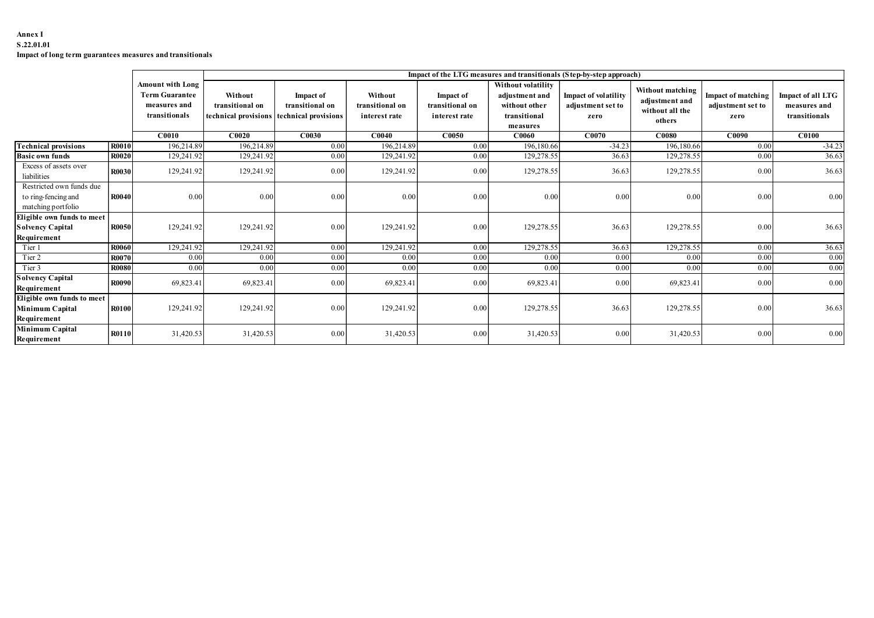### Annex I S.22.01.01 Impact of long term guarantees measures and transitionals

| S.22.01.01<br>Impact of long term guarantees measures and transitionals |                              |                                                                                   |                            |                                                                                  |                                             |                                               |                                                                                   |                                                                      |                                                                 |                                                 |                                                    |
|-------------------------------------------------------------------------|------------------------------|-----------------------------------------------------------------------------------|----------------------------|----------------------------------------------------------------------------------|---------------------------------------------|-----------------------------------------------|-----------------------------------------------------------------------------------|----------------------------------------------------------------------|-----------------------------------------------------------------|-------------------------------------------------|----------------------------------------------------|
|                                                                         |                              |                                                                                   |                            |                                                                                  |                                             |                                               |                                                                                   |                                                                      |                                                                 |                                                 |                                                    |
|                                                                         |                              |                                                                                   |                            |                                                                                  |                                             |                                               |                                                                                   | Impact of the LTG measures and transitionals (Step-by-step approach) |                                                                 |                                                 |                                                    |
|                                                                         |                              | <b>Amount with Long</b><br><b>Term Guarantee</b><br>measures and<br>transitionals | Without<br>transitional on | <b>Impact of</b><br>transitional on<br>technical provisions technical provisions | Without<br>transitional on<br>interest rate | Impact of<br>transitional on<br>interest rate | Without volatility<br>adjustment and<br>without other<br>transitional<br>measures | Impact of volatility<br>adjustment set to<br>zero                    | Without matching<br>adjustment and<br>without all the<br>others | Impact of matching<br>adjustment set to<br>zero | Impact of all LTG<br>measures and<br>transitionals |
|                                                                         |                              | CO <sub>010</sub>                                                                 | C0020                      | C <sub>0030</sub>                                                                | CO <sub>040</sub>                           | C0050                                         | C0060                                                                             | C0070                                                                | <b>C0080</b>                                                    | C0090                                           | CO100                                              |
| <b>Technical provisions</b><br><b>Basic own funds</b>                   | <b>R0010</b><br><b>R0020</b> | 196,214.89<br>129,241.92                                                          | 196,214.89<br>129,241.92   | 0.00<br>0.00                                                                     | 196,214.89<br>129,241.92                    | 0.00<br>0.00                                  | 196,180.66<br>129,278.55                                                          | $-34.23$<br>36.63                                                    | 196,180.66<br>129,278.55                                        | 0.00<br>0.00                                    | $-34.23$<br>36.63                                  |
| Excess of assets over                                                   |                              |                                                                                   |                            |                                                                                  |                                             |                                               |                                                                                   |                                                                      |                                                                 |                                                 |                                                    |
| liabilities                                                             | R0030                        | 129,241.92                                                                        | 129,241.92                 | 0.00                                                                             | 129,241.92                                  | 0.00                                          | 129,278.55                                                                        | 36.63                                                                | 129,278.55                                                      | $0.00\,$                                        | 36.63                                              |
| Restricted own funds due<br>to ring-fencing and<br>matching portfolio   | R0040                        | 0.00                                                                              | 0.00                       | 0.00                                                                             | 0.00                                        | 0.00                                          | 0.00                                                                              | 0.00                                                                 | 0.00                                                            | 0.00                                            | 0.00                                               |
| Eligible own funds to meet<br><b>Solvency Capital</b><br>Requirement    | R0050                        | 129,241.92                                                                        | 129,241.92                 | 0.00                                                                             | 129,241.92                                  | 0.00                                          | 129,278.55                                                                        | 36.63                                                                | 129,278.55                                                      | 0.00                                            | 36.63                                              |
| Tier 1                                                                  | <b>R0060</b>                 | 129,241.92                                                                        | 129,241.92                 | 0.00                                                                             | 129,241.92                                  | 0.00                                          | 129,278.55                                                                        | 36.63                                                                | 129,278.55                                                      | 0.00                                            | 36.63                                              |
| Tier 2                                                                  | <b>R0070</b>                 | 0.00                                                                              | 0.00                       | 0.00                                                                             | 0.00                                        | 0.00                                          | 0.00                                                                              | 0.00                                                                 | 0.00                                                            | 0.00                                            | 0.00                                               |
| Tier 3                                                                  | R0080                        | 0.00                                                                              | 0.00                       | 0.00                                                                             | 0.00                                        | 0.00                                          | 0.00                                                                              | 0.00                                                                 | 0.00                                                            | 0.00                                            | 0.00                                               |
| <b>Solvency Capital</b><br>Requirement                                  | <b>R0090</b>                 | 69,823.41                                                                         | 69,823.41                  | 0.00                                                                             | 69,823.41                                   | 0.00                                          | 69,823.41                                                                         | 0.00                                                                 | 69,823.41                                                       | 0.00                                            | 0.00                                               |
| Eligible own funds to meet<br>Minimum Capital<br>Requirement            | R0100                        | 129,241.92                                                                        | 129,241.92                 | 0.00                                                                             | 129,241.92                                  | 0.00                                          | 129,278.55                                                                        | 36.63                                                                | 129,278.55                                                      | 0.00                                            | 36.63                                              |
| Minimum Capital<br>Requirement                                          | <b>R0110</b>                 | 31,420.53                                                                         | 31,420.53                  | 0.00                                                                             | 31,420.53                                   | 0.00                                          | 31,420.53                                                                         | 0.00                                                                 | 31,420.53                                                       | 0.00                                            | 0.00                                               |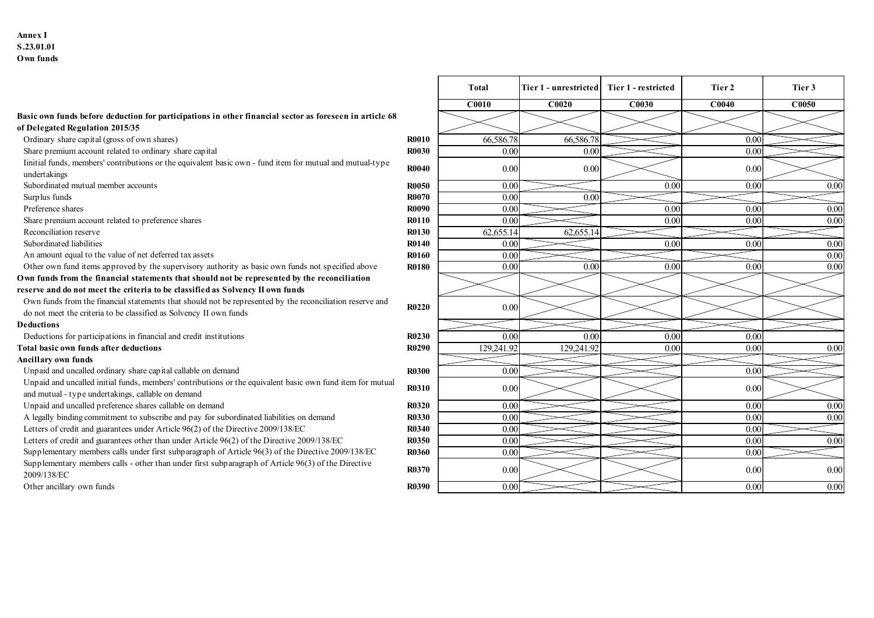### Annex I S.23.01.01 Own funds

|                                                                                                                                                                                |              | C <sub>0010</sub> | C0020      | C0030 |
|--------------------------------------------------------------------------------------------------------------------------------------------------------------------------------|--------------|-------------------|------------|-------|
| Basic own funds before deduction for participations in other financial sector as foreseen in article 68                                                                        |              |                   |            |       |
| of Delegated Regulation 2015/35                                                                                                                                                |              |                   |            |       |
| Ordinary share capital (gross of own shares)                                                                                                                                   | <b>R0010</b> | 66,586.78         | 66,586.78  |       |
| Share premium account related to ordinary share capital                                                                                                                        | <b>R0030</b> | 0.00              | 0.00       |       |
| linitial funds, members' contributions or the equivalent basic own - fund item for mutual and mutual-type<br>undertakings                                                      | <b>R0040</b> | 0.00              | 0.00       |       |
| Subordinated mutual member accounts                                                                                                                                            | <b>R0050</b> | 0.00              |            | 0.00  |
| Surplus funds                                                                                                                                                                  | <b>R0070</b> | 0.00              | 0.00       |       |
| Preference shares                                                                                                                                                              | <b>R0090</b> | 0.00              |            | 0.00  |
| Share premium account related to preference shares                                                                                                                             | <b>R0110</b> | 0.00              |            | 0.00  |
| Reconciliation reserve                                                                                                                                                         | <b>R0130</b> | 62,655.14         | 62,655.14  |       |
| Subordinated liabilities                                                                                                                                                       | <b>R0140</b> | 0.00              |            | 0.00  |
| An amount equal to the value of net deferred tax assets                                                                                                                        | <b>R0160</b> | 0.00              |            |       |
| Other own fund items approved by the supervisory authority as basic own funds not specified above                                                                              | <b>R0180</b> | 0.00              | 0.00       | 0.00  |
| Own funds from the financial statements that should not be represented by the reconciliation                                                                                   |              |                   |            |       |
| reserve and do not meet the criteria to be classified as Solvency II own funds                                                                                                 |              |                   |            |       |
| Own funds from the financial statements that should not be represented by the reconciliation reserve and<br>do not meet the criteria to be classified as Solvency II own funds | <b>R0220</b> | 0.00              |            |       |
| <b>Deductions</b>                                                                                                                                                              |              |                   |            |       |
| Deductions for participations in financial and credit institutions                                                                                                             | R0230        | 0.00              | 0.00       | 0.00  |
| Total basic own funds after deductions                                                                                                                                         | <b>R0290</b> | 129,241.92        | 129,241.92 | 0.00  |
| Ancillary own funds                                                                                                                                                            |              |                   |            |       |
| Unpaid and uncalled ordinary share capital callable on demand                                                                                                                  | <b>R0300</b> | 0.00              |            |       |
| Unpaid and uncalled initial funds, members' contributions or the equivalent basic own fund item for mutual<br>and mutual - type undertakings, callable on demand               | <b>R0310</b> | 0.00              |            |       |
| Unpaid and uncalled preference shares callable on demand                                                                                                                       | <b>R0320</b> | 0.00              |            |       |
| A legally binding commitment to subscribe and pay for subordinated liabilities on demand                                                                                       | <b>R0330</b> | 0.00              |            |       |
| Letters of credit and guarantees under Article 96(2) of the Directive 2009/138/EC                                                                                              | <b>R0340</b> | 0.00              |            |       |
| Letters of credit and guarantees other than under Article 96(2) of the Directive 2009/138/EC                                                                                   | <b>R0350</b> | 0.00              |            |       |
| Supplementary members calls under first subparagraph of Article 96(3) of the Directive 2009/138/EC                                                                             | <b>R0360</b> | 0.00              |            |       |
| Supplementary members calls - other than under first subparagraph of Article 96(3) of the Directive<br>2009/138/EC                                                             | R0370        | 0.00              |            |       |

|                                                                                                                                                      |                              | Total                     | Tier 1 - unrestricted Tier 1 - restricted |                   | Tier 2       | Tier 3       |
|------------------------------------------------------------------------------------------------------------------------------------------------------|------------------------------|---------------------------|-------------------------------------------|-------------------|--------------|--------------|
|                                                                                                                                                      |                              | <b>C0010</b>              | C0020                                     | <b>C0030</b>      | C0040        | C0050        |
| Basic own funds before deduction for participations in other financial sector as foreseen in article 68<br>of Delegated Regulation 2015/35           |                              |                           |                                           |                   |              |              |
| Ordinary share capital (gross of own shares)                                                                                                         | <b>R0010</b>                 | 66,586.78                 | 66,586.78                                 |                   | 0.00         |              |
| Share premium account related to ordinary share capital                                                                                              | <b>R0030</b>                 | 0.00                      | 0.00                                      |                   | 0.00         |              |
| Iinitial funds, members' contributions or the equivalent basic own - fund item for mutual and mutual-type                                            | <b>R0040</b>                 | 0.00                      | 0.00                                      |                   | 0.00         |              |
| undertakings                                                                                                                                         |                              |                           |                                           |                   |              |              |
| Subordinated mutual member accounts                                                                                                                  | <b>R0050</b>                 | 0.00                      |                                           | 0.00              | 0.00         | 0.00         |
| Surplus funds                                                                                                                                        | <b>R0070</b>                 | 0.00                      | 0.00                                      |                   |              |              |
| Preference shares<br>Share premium account related to preference shares                                                                              | <b>R0090</b><br><b>R0110</b> | 0.00<br>$\overline{0.00}$ |                                           | 0.00<br>0.00      | 0.00<br>0.00 | 0.00<br>0.00 |
| Reconciliation reserve                                                                                                                               | <b>R0130</b>                 | 62,655.14                 | 62,655.1                                  |                   |              |              |
| Subordinated liabilities                                                                                                                             | <b>R0140</b>                 | 0.00                      |                                           | 0.00              | 0.00         | 0.00         |
| An amount equal to the value of net deferred tax assets                                                                                              | <b>R0160</b>                 | 0.00                      |                                           |                   |              | 0.00         |
| Other own fund items approved by the supervisory authority as basic own funds not specified above                                                    | <b>R0180</b>                 | 0.00                      | $0.00\,$                                  | 0.00              | 0.00         | 0.00         |
| Own funds from the financial statements that should not be represented by the reconciliation                                                         |                              |                           |                                           |                   |              |              |
| reserve and do not meet the criteria to be classified as Solvency II own funds                                                                       |                              |                           |                                           |                   |              |              |
| Own funds from the financial statements that should not be represented by the reconciliation reserve and                                             | <b>R0220</b>                 | 0.00                      |                                           |                   |              |              |
| do not meet the criteria to be classified as Solvency II own funds<br>Deductions                                                                     |                              |                           |                                           |                   |              |              |
| Deductions for participations in financial and credit institutions                                                                                   | <b>R0230</b>                 | 0.00                      | 0.00                                      | 0.00              | 0.00         |              |
| Total basic own funds after deductions                                                                                                               | <b>R0290</b>                 | 129,241.92                | 129,241.92                                | $\overline{0.00}$ | 0.0          | 0.00         |
| <b>Ancillary own funds</b>                                                                                                                           |                              |                           |                                           |                   |              |              |
| Unpaid and uncalled ordinary share capital callable on demand                                                                                        | <b>R0300</b>                 | 0.00                      |                                           |                   | 0.00         |              |
| Unpaid and uncalled initial funds, members' contributions or the equivalent basic own fund item for mutual                                           | <b>R0310</b>                 | 0.00                      |                                           |                   | 0.00         |              |
| and mutual - type undertakings, callable on demand                                                                                                   |                              |                           |                                           |                   |              |              |
| Unpaid and uncalled preference shares callable on demand<br>A legally binding commitment to subscribe and pay for subordinated liabilities on demand | <b>R0320</b><br><b>R0330</b> | 0.00<br>0.00              |                                           |                   | 0.00         | 0.00<br>0.00 |
| Letters of credit and guarantees under Article 96(2) of the Directive 2009/138/EC                                                                    | <b>R0340</b>                 | 0.00                      |                                           |                   | 0.00<br>0.00 |              |
| Letters of credit and guarantees other than under Article 96(2) of the Directive 2009/138/EC                                                         | <b>R0350</b>                 | 0.00                      |                                           |                   | 0.00         | 0.00         |
| Supplementary members calls under first subparagraph of Article 96(3) of the Directive 2009/138/EC                                                   | <b>R0360</b>                 | 0.00                      |                                           |                   | 0.00         |              |
| Supplementary members calls - other than under first subparagraph of Article 96(3) of the Directive                                                  | <b>R0370</b>                 |                           |                                           |                   |              |              |
| 2009/138/EC                                                                                                                                          |                              | 0.00                      |                                           |                   | 0.00         | 0.00         |
| Other ancillary own funds                                                                                                                            | <b>R0390</b>                 | 0.00                      |                                           |                   | 0.00         | 0.00         |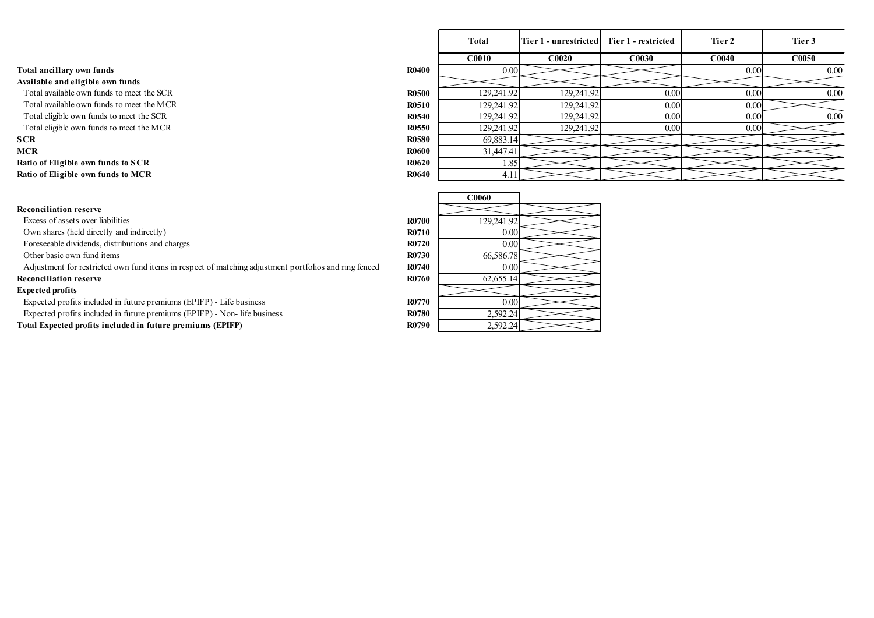|                                                                                                       |              | <b>C0010</b> | <b>C0020</b> | <b>C0030</b> | <b>C0040</b> |
|-------------------------------------------------------------------------------------------------------|--------------|--------------|--------------|--------------|--------------|
| Total ancillary own funds                                                                             | <b>R0400</b> | 0.00         |              |              |              |
| Available and eligible own funds                                                                      |              |              |              |              |              |
| Total available own funds to meet the SCR                                                             | <b>R0500</b> | 129,241.92   | 129,241.92   | 0.00         |              |
| Total available own funds to meet the MCR                                                             | <b>R0510</b> | 129,241.92   | 129,241.92   | 0.00         |              |
| Total eligible own funds to meet the SCR                                                              | <b>R0540</b> | 129,241.92   | 129,241.92   | 0.00         |              |
| Total eligible own funds to meet the MCR                                                              | <b>R0550</b> | 129,241.92   | 129,241.92   | 0.00         |              |
| <b>SCR</b>                                                                                            | <b>R0580</b> | 69,883.14    |              |              |              |
| <b>MCR</b>                                                                                            | <b>R0600</b> | 31,447.41    |              |              |              |
| Ratio of Eligible own funds to SCR                                                                    | <b>R0620</b> | 1.85         |              |              |              |
| Ratio of Eligible own funds to MCR                                                                    | <b>R0640</b> | 4.11         |              |              |              |
|                                                                                                       |              |              |              |              |              |
|                                                                                                       |              | <b>C0060</b> |              |              |              |
| <b>Reconciliation reserve</b>                                                                         |              |              |              |              |              |
| Excess of assets over liabilities                                                                     | <b>R0700</b> | 129,241.92   |              |              |              |
| Own shares (held directly and indirectly)                                                             | R0710        | 0.00         |              |              |              |
| Foreseeable dividends, distributions and charges                                                      | R0720        | 0.00         |              |              |              |
| Other basic own fund items                                                                            | R0730        | 66,586.78    |              |              |              |
| Adjustment for restricted own fund items in respect of matching adjustment portfolios and ring fenced | R0740        | 0.00         |              |              |              |
| <b>Reconciliation reserve</b>                                                                         | R0760        | 62,655.14    |              |              |              |
| <b>Expected profits</b>                                                                               |              |              |              |              |              |
| Expected profits included in future premiums (EPIFP) - Life business                                  | <b>R0770</b> | 0.00         |              |              |              |
| Expected profits included in future premiums (EPIFP) - Non- life business                             | <b>R0780</b> | 2,592.24     |              |              |              |
| Total Expected profits included in future premiums (EPIFP)                                            | R0790        | 2,592.24     |              |              |              |
|                                                                                                       |              |              |              |              |              |
|                                                                                                       |              |              |              |              |              |
|                                                                                                       |              |              |              |              |              |
|                                                                                                       |              |              |              |              |              |
|                                                                                                       |              |              |              |              |              |
|                                                                                                       |              |              |              |              |              |

|                                                                                                                                         |                              | Total                   | Tier 1 - unrestricted Tier 1 - restricted |                   | Tier 2            | Tier 3 |
|-----------------------------------------------------------------------------------------------------------------------------------------|------------------------------|-------------------------|-------------------------------------------|-------------------|-------------------|--------|
|                                                                                                                                         |                              | C0010                   | C0020                                     | C0030             | CO <sub>040</sub> | C0050  |
| Total ancillary own funds                                                                                                               | <b>R0400</b>                 | 0.00                    |                                           |                   | 0.00              | 0.00   |
| Available and eligible own funds                                                                                                        |                              |                         |                                           |                   |                   |        |
| Total available own funds to meet the SCR                                                                                               | <b>R0500</b>                 | 129,241.92              | 129,241.92                                | $\overline{0.00}$ | 0.00              | 0.00   |
| Total available own funds to meet the MCR                                                                                               | <b>R0510</b>                 | 129,241.92              | 129,241.92                                | 0.00              | 0.00              |        |
| Total eligible own funds to meet the SCR                                                                                                | <b>R0540</b>                 | 129,241.92              | 129,241.92                                | 0.00              | 0.00              | 0.00   |
| Total eligible own funds to meet the MCR                                                                                                | <b>R0550</b><br><b>R0580</b> | 129,241.92<br>69,883.14 | 129,241.92                                | $\overline{0.00}$ | 0.00              |        |
| SCR<br>MCR                                                                                                                              | <b>R0600</b>                 | 31,447.41               |                                           |                   |                   |        |
| Ratio of Eligible own funds to SCR                                                                                                      | <b>R0620</b>                 | 1.85                    |                                           |                   |                   |        |
| Ratio of Eligible own funds to MCR                                                                                                      | <b>R0640</b>                 | 4.11                    |                                           |                   |                   |        |
|                                                                                                                                         |                              |                         |                                           |                   |                   |        |
|                                                                                                                                         |                              | C0060                   |                                           |                   |                   |        |
| <b>Reconciliation reserve</b><br>Excess of assets over liabilities                                                                      | <b>R0700</b>                 | 129,241.92              |                                           |                   |                   |        |
| Own shares (held directly and indirectly)                                                                                               | <b>R0710</b>                 | 0.00                    |                                           |                   |                   |        |
| Foreseeable dividends, distributions and charges                                                                                        | <b>R0720</b>                 | 0.00                    |                                           |                   |                   |        |
| Other basic own fund items                                                                                                              | <b>R0730</b>                 | 66,586.78               |                                           |                   |                   |        |
| Adjustment for restricted own fund items in respect of matching adjustment portfolios and ring fenced                                   | <b>R0740</b>                 | 0.00                    |                                           |                   |                   |        |
| <b>Reconciliation reserve</b>                                                                                                           | <b>R0760</b>                 | 62,655.14               |                                           |                   |                   |        |
| <b>Expected profits</b>                                                                                                                 |                              |                         |                                           |                   |                   |        |
| Expected profits included in future premiums (EPIFP) - Life business                                                                    | <b>R0770</b>                 | 0.00                    |                                           |                   |                   |        |
| Expected profits included in future premiums (EPIFP) - Non- life business<br>Total Expected profits included in future premiums (EPIFP) | <b>R0780</b><br><b>R0790</b> | 2,592.24<br>2,592.24    |                                           |                   |                   |        |
|                                                                                                                                         |                              |                         |                                           |                   |                   |        |
|                                                                                                                                         |                              |                         |                                           |                   |                   |        |

## Expected profits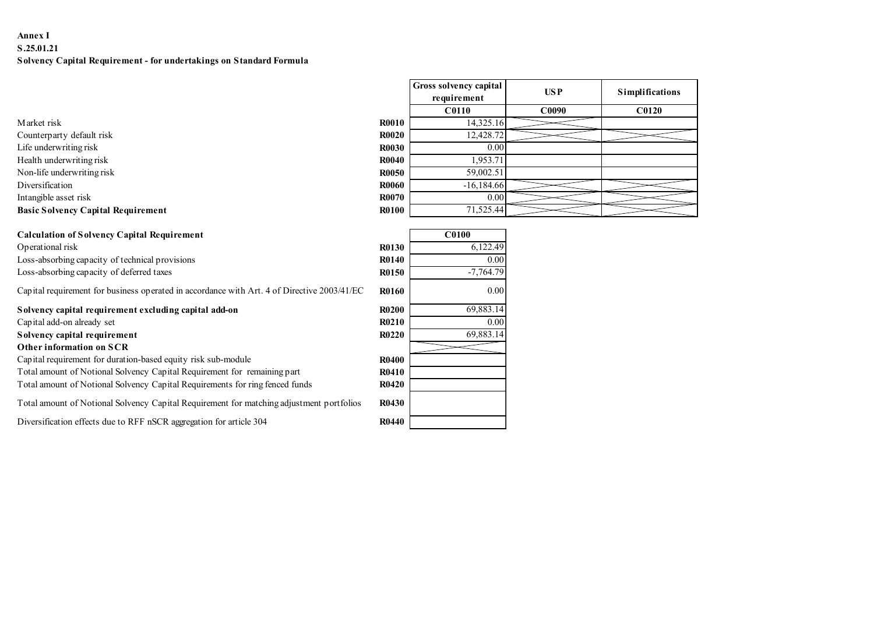## Annex I S.25.01.21 Solvency Capital Requirement - for undertakings on Standard Formula

| Annex I<br>S.25.01.21                                                                       |              |                                       |                    |                 |
|---------------------------------------------------------------------------------------------|--------------|---------------------------------------|--------------------|-----------------|
| Solvency Capital Requirement - for undertakings on Standard Formula                         |              |                                       |                    |                 |
|                                                                                             |              |                                       |                    |                 |
|                                                                                             |              | Gross solvency capital<br>requirement | <b>USP</b>         | Simplifications |
|                                                                                             |              | <b>C0110</b>                          | $\overline{C0090}$ | C0120           |
| Market risk                                                                                 | <b>R0010</b> | 14,325.16                             |                    |                 |
| Counterparty default risk                                                                   | <b>R0020</b> | 12,428.72                             |                    |                 |
| Life underwriting risk                                                                      | <b>R0030</b> | 0.00                                  |                    |                 |
| Health underwriting risk                                                                    | <b>R0040</b> | 1,953.71                              |                    |                 |
| Non-life underwriting risk                                                                  | <b>R0050</b> | 59,002.51                             |                    |                 |
| Diversification                                                                             | <b>R0060</b> | $-16,184.66$                          |                    |                 |
| Intangible asset risk                                                                       | R0070        | 0.00                                  |                    |                 |
| <b>Basic Solvency Capital Requirement</b>                                                   | <b>R0100</b> | 71,525.44                             |                    |                 |
|                                                                                             |              |                                       |                    |                 |
| <b>Calculation of Solvency Capital Requirement</b>                                          |              | <b>C0100</b>                          |                    |                 |
| Operational risk                                                                            | R0130        | 6,122.49                              |                    |                 |
| Loss-absorbing capacity of technical provisions                                             | <b>R0140</b> | 0.00                                  |                    |                 |
| Loss-absorbing capacity of deferred taxes                                                   | <b>R0150</b> | $-7,764.79$                           |                    |                 |
| Capital requirement for business operated in accordance with Art. 4 of Directive 2003/41/EC | <b>R0160</b> | 0.00                                  |                    |                 |
|                                                                                             |              |                                       |                    |                 |

| S.25.01.21                                                                                  |              |                        |                   |                        |
|---------------------------------------------------------------------------------------------|--------------|------------------------|-------------------|------------------------|
| Solvency Capital Requirement - for undertakings on Standard Formula                         |              |                        |                   |                        |
|                                                                                             |              | Gross solvency capital |                   |                        |
|                                                                                             |              | requirement            | <b>USP</b>        | <b>Simplifications</b> |
|                                                                                             |              | <b>C0110</b>           | C <sub>0090</sub> | <b>C0120</b>           |
| Market risk                                                                                 | <b>R0010</b> | 14,325.16              |                   |                        |
| Counterparty default risk                                                                   | <b>R0020</b> | 12,428.72              |                   |                        |
| Life underwriting risk                                                                      | <b>R0030</b> | 0.00                   |                   |                        |
| Health underwriting risk                                                                    | <b>R0040</b> | 1,953.71               |                   |                        |
| Non-life underwriting risk                                                                  | <b>R0050</b> | 59,002.51              |                   |                        |
| Diversification                                                                             | <b>R0060</b> | $-16,184.66$           |                   |                        |
| Intangible asset risk                                                                       | R0070        | 0.00                   |                   |                        |
| <b>Basic Solvency Capital Requirement</b>                                                   | <b>R0100</b> | 71,525.44              |                   |                        |
|                                                                                             |              |                        |                   |                        |
| <b>Calculation of Solvency Capital Requirement</b>                                          |              | <b>C0100</b>           |                   |                        |
| Operational risk                                                                            | R0130        | 6,122.49               |                   |                        |
| Loss-absorbing capacity of technical provisions                                             | <b>R0140</b> | 0.00                   |                   |                        |
| Loss-absorbing capacity of deferred taxes                                                   | R0150        | $-7,764.79$            |                   |                        |
| Capital requirement for business operated in accordance with Art. 4 of Directive 2003/41/EC | <b>R0160</b> | 0.00                   |                   |                        |
| Solvency capital requirement excluding capital add-on                                       | <b>R0200</b> | 69,883.14              |                   |                        |
| Capital add-on already set                                                                  | <b>R0210</b> | 0.00                   |                   |                        |
| Solvency capital requirement                                                                | R0220        | 69,883.14              |                   |                        |
| Other information on SCR                                                                    |              |                        |                   |                        |
| Capital requirement for duration-based equity risk sub-module                               | <b>R0400</b> |                        |                   |                        |
| Total amount of Notional Solvency Capital Requirement for remaining part                    | R0410        |                        |                   |                        |
| Total amount of Notional Solvency Capital Requirements for ring fenced funds                | R0420        |                        |                   |                        |
| Total amount of Notional Solvency Capital Requirement for matching adjustment portfolios    | R0430        |                        |                   |                        |
| Diversification effects due to RFF nSCR aggregation for article 304                         | <b>R0440</b> |                        |                   |                        |

|                                             | Gross solvency capital    | $USP$ |                                        |  |
|---------------------------------------------|---------------------------|-------|----------------------------------------|--|
|                                             | requirement               |       | $\label{ex:1} \textbf{S implications}$ |  |
|                                             | <b>C0110</b>              | C0090 | <b>C0120</b>                           |  |
|                                             | 14,325.16                 |       |                                        |  |
|                                             | 12,428.72                 |       |                                        |  |
|                                             | $0.00\,$                  |       |                                        |  |
| 10<br>$20\,$<br>30 <sup>°</sup><br>40<br>50 | 1,953.71                  |       |                                        |  |
|                                             | 59,002.51<br>$-16,184.66$ |       |                                        |  |
|                                             | $0.00\,$                  |       |                                        |  |
| 50<br>70<br>$\mathbf{0}$                    | 71,525.44                 |       |                                        |  |

|              | C <sub>0100</sub> |
|--------------|-------------------|
| <b>R0130</b> | 6,122.49          |
| <b>R0140</b> | 0.00              |
| R0150        | $-7,764.79$       |
| <b>R0160</b> | 0.00              |
| <b>R0200</b> | 69,883.14         |
| <b>R0210</b> | 0.00              |
| <b>R0220</b> | 69,883.14         |
|              |                   |
| <b>R0400</b> |                   |
| <b>R0410</b> |                   |
| <b>R0420</b> |                   |
| <b>R0430</b> |                   |
| <b>R0440</b> |                   |